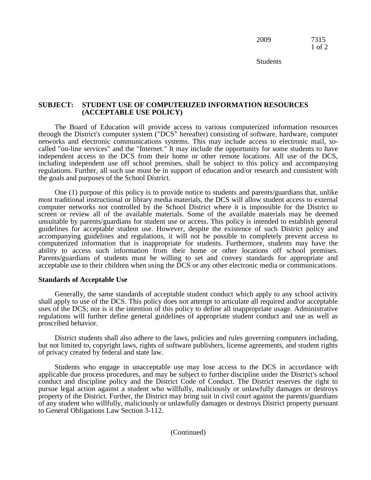2009 7315 1 of 2

Students

## **SUBJECT: STUDENT USE OF COMPUTERIZED INFORMATION RESOURCES (ACCEPTABLE USE POLICY)**

The Board of Education will provide access to various computerized information resources through the District's computer system ("DCS" hereafter) consisting of software, hardware, computer networks and electronic communications systems. This may include access to electronic mail, socalled "on-line services" and the "Internet." It may include the opportunity for some students to have independent access to the DCS from their home or other remote locations. All use of the DCS, including independent use off school premises, shall be subject to this policy and accompanying regulations. Further, all such use must be in support of education and/or research and consistent with the goals and purposes of the School District.

One (1) purpose of this policy is to provide notice to students and parents/guardians that, unlike most traditional instructional or library media materials, the DCS will allow student access to external computer networks not controlled by the School District where it is impossible for the District to screen or review all of the available materials. Some of the available materials may be deemed unsuitable by parents/guardians for student use or access. This policy is intended to establish general guidelines for acceptable student use. However, despite the existence of such District policy and accompanying guidelines and regulations, it will not be possible to completely prevent access to computerized information that is inappropriate for students. Furthermore, students may have the ability to access such information from their home or other locations off school premises. Parents/guardians of students must be willing to set and convey standards for appropriate and acceptable use to their children when using the DCS or any other electronic media or communications.

## **Standards of Acceptable Use**

Generally, the same standards of acceptable student conduct which apply to any school activity shall apply to use of the DCS. This policy does not attempt to articulate all required and/or acceptable uses of the DCS; nor is it the intention of this policy to define all inappropriate usage. Administrative regulations will further define general guidelines of appropriate student conduct and use as well as proscribed behavior.

District students shall also adhere to the laws, policies and rules governing computers including, but not limited to, copyright laws, rights of software publishers, license agreements, and student rights of privacy created by federal and state law.

Students who engage in unacceptable use may lose access to the DCS in accordance with applicable due process procedures, and may be subject to further discipline under the District's school conduct and discipline policy and the District Code of Conduct. The District reserves the right to pursue legal action against a student who willfully, maliciously or unlawfully damages or destroys property of the District. Further, the District may bring suit in civil court against the parents/guardians of any student who willfully, maliciously or unlawfully damages or destroys District property pursuant to General Obligations Law Section 3-112.

(Continued)